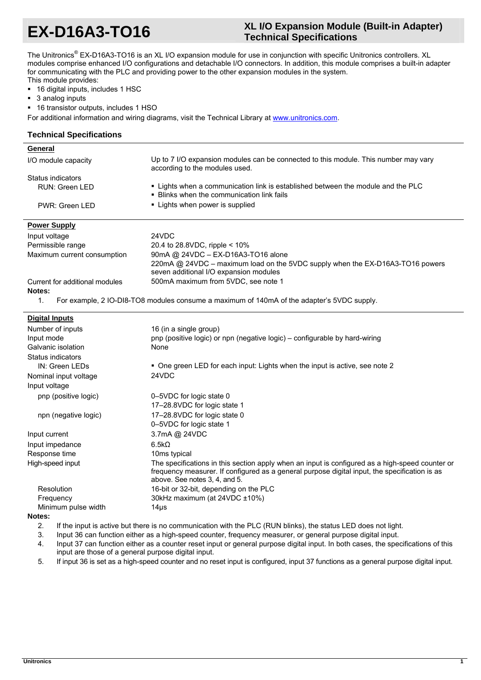# **EX-D16A3-TO16 XL I/O Expansion Module (Built-in Adapter) Technical Specifications**

The Unitronics<sup>®</sup> EX-D16A3-TO16 is an XL I/O expansion module for use in conjunction with specific Unitronics controllers. XL modules comprise enhanced I/O configurations and detachable I/O connectors. In addition, this module comprises a built-in adapter for communicating with the PLC and providing power to the other expansion modules in the system. This module provides:

16 digital inputs, includes 1 HSC

- 3 analog inputs
- 16 transistor outputs, includes 1 HSO

For additional information and wiring diagrams, visit the Technical Library at www.unitronics.com.

## **Technical Specifications**

| General                        |                                                                                                                                                                                                                                   |  |
|--------------------------------|-----------------------------------------------------------------------------------------------------------------------------------------------------------------------------------------------------------------------------------|--|
| I/O module capacity            | Up to 7 I/O expansion modules can be connected to this module. This number may vary<br>according to the modules used.                                                                                                             |  |
| Status indicators              |                                                                                                                                                                                                                                   |  |
| <b>RUN: Green LED</b>          | . Lights when a communication link is established between the module and the PLC<br>• Blinks when the communication link fails                                                                                                    |  |
| PWR: Green LED                 | • Lights when power is supplied                                                                                                                                                                                                   |  |
| <b>Power Supply</b>            |                                                                                                                                                                                                                                   |  |
| Input voltage                  | 24VDC                                                                                                                                                                                                                             |  |
| Permissible range              | 20.4 to 28.8VDC, ripple < 10%                                                                                                                                                                                                     |  |
| Maximum current consumption    | 90mA @ 24VDC - EX-D16A3-TO16 alone                                                                                                                                                                                                |  |
|                                | 220mA @ 24VDC - maximum load on the 5VDC supply when the EX-D16A3-TO16 powers                                                                                                                                                     |  |
|                                | seven additional I/O expansion modules                                                                                                                                                                                            |  |
| Current for additional modules | 500mA maximum from 5VDC, see note 1                                                                                                                                                                                               |  |
| Notes:                         |                                                                                                                                                                                                                                   |  |
| $\mathbf{1}$ .                 | For example, 2 IO-DI8-TO8 modules consume a maximum of 140mA of the adapter's 5VDC supply.                                                                                                                                        |  |
| <b>Digital Inputs</b>          |                                                                                                                                                                                                                                   |  |
| Number of inputs               | 16 (in a single group)                                                                                                                                                                                                            |  |
| Input mode                     | pnp (positive logic) or npn (negative logic) – configurable by hard-wiring                                                                                                                                                        |  |
| Galvanic isolation             | None                                                                                                                                                                                                                              |  |
| Status indicators              |                                                                                                                                                                                                                                   |  |
| IN: Green LEDs                 | • One green LED for each input: Lights when the input is active, see note 2                                                                                                                                                       |  |
| Nominal input voltage          | 24VDC                                                                                                                                                                                                                             |  |
| Input voltage                  |                                                                                                                                                                                                                                   |  |
| pnp (positive logic)           | 0-5VDC for logic state 0                                                                                                                                                                                                          |  |
|                                | 17-28.8VDC for logic state 1                                                                                                                                                                                                      |  |
| npn (negative logic)           | 17-28.8VDC for logic state 0                                                                                                                                                                                                      |  |
|                                | 0-5VDC for logic state 1                                                                                                                                                                                                          |  |
| Input current                  | 3.7mA @ 24VDC                                                                                                                                                                                                                     |  |
| Input impedance                | 6.5k <sub>Ω</sub>                                                                                                                                                                                                                 |  |
| Response time                  | 10 <sub>ms</sub> typical                                                                                                                                                                                                          |  |
| High-speed input               | The specifications in this section apply when an input is configured as a high-speed counter or<br>frequency measurer. If configured as a general purpose digital input, the specification is as<br>above. See notes 3, 4, and 5. |  |

#### Minimum pulse width 14μs **Notes:**

2. If the input is active but there is no communication with the PLC (RUN blinks), the status LED does not light.

Resolution 16-bit or 32-bit, depending on the PLC Frequency 30kHz maximum (at 24VDC ±10%)

- 3. Input 36 can function either as a high-speed counter, frequency measurer, or general purpose digital input.
- 4. Input 37 can function either as a counter reset input or general purpose digital input. In both cases, the specifications of this input are those of a general purpose digital input.
- 5. If input 36 is set as a high-speed counter and no reset input is configured, input 37 functions as a general purpose digital input.